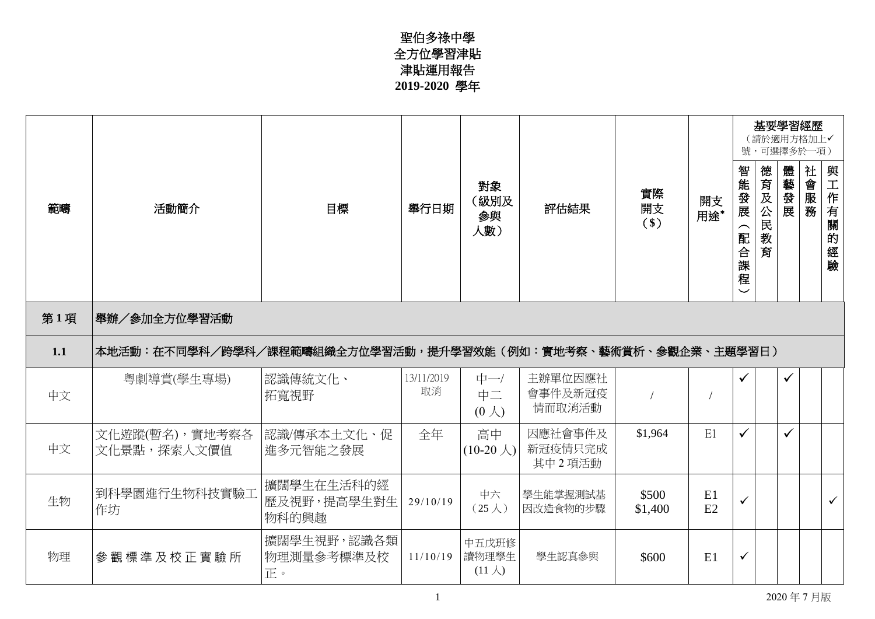## 聖伯多祿中學 全方位學習津貼 津貼運用報告 **2019-2020** 學年

|     |                                                              |                                    |                  |                                               |                              |                   |           |                                             |             |      | 基要學習經歷<br>(請於適用方格加上√<br>號,可選擇多於一項) |              |  |
|-----|--------------------------------------------------------------|------------------------------------|------------------|-----------------------------------------------|------------------------------|-------------------|-----------|---------------------------------------------|-------------|------|------------------------------------|--------------|--|
| 範疇  | 活動簡介                                                         | 目標                                 | 舉行日期             | 對象<br>(級別及<br>参與<br>人數)                       | 評估結果                         | 實際<br>開支<br>$($)$ | 開支<br>用途* | 智能發展<br>$\widehat{\phantom{1}}$<br>阳合課<br>霍 | 德育及公民<br>教育 | 體藝發展 | 社會服務                               | 與工作有關的經驗     |  |
| 第1項 | 舉辦/參加全方位學習活動                                                 |                                    |                  |                                               |                              |                   |           |                                             |             |      |                                    |              |  |
| 1.1 | 本地活動:在不同學科/跨學科/課程範疇組織全方位學習活動,提升學習效能(例如:實地考察、藝術賞析、參觀企業、主題學習日) |                                    |                  |                                               |                              |                   |           |                                             |             |      |                                    |              |  |
| 中文  | 粵劇導賞(學生專場)                                                   | 認識傳統文化、<br>拓寬視野                    | 13/11/2019<br>取消 | $\uparrow \rightarrow$<br>中二<br>$(0 \lambda)$ | 主辦單位因應社<br>會事件及新冠疫<br>情而取消活動 |                   |           | $\checkmark$                                |             | ✓    |                                    |              |  |
| 中文  | 文化遊蹤(暫名),實地考察各<br>文化景點,探索人文價值                                | 認識/傳承本土文化、促 <br>進多元智能之發展           | 全年               | 高中<br>$(10-20 \lambda)$                       | 因應社會事件及<br>新冠疫情只完成<br>其中2項活動 | \$1,964           | E1        | ✓                                           |             |      |                                    |              |  |
| 生物  | 到科學園進行生物科技實驗工<br>作坊                                          | 擴闊學生在生活科的經<br>歷及視野,提高學生對生<br>物科的興趣 | 29/10/19         | 中六<br>$(25 \lambda)$                          | 學生能掌握測試基<br>因改造食物的步驟         | \$500<br>\$1,400  | E1<br>E2  | ✓                                           |             |      |                                    | $\checkmark$ |  |
| 物理  | 參觀標準及校正實驗所                                                   | 擴闊學生視野,認識各類<br>物理測量參考標準及校<br>正。    | 11/10/19         | 中五戊班修<br>讀物理學生<br>$(11 \lambda)$              | 學生認真參與                       | \$600             | E1        | $\checkmark$                                |             |      |                                    |              |  |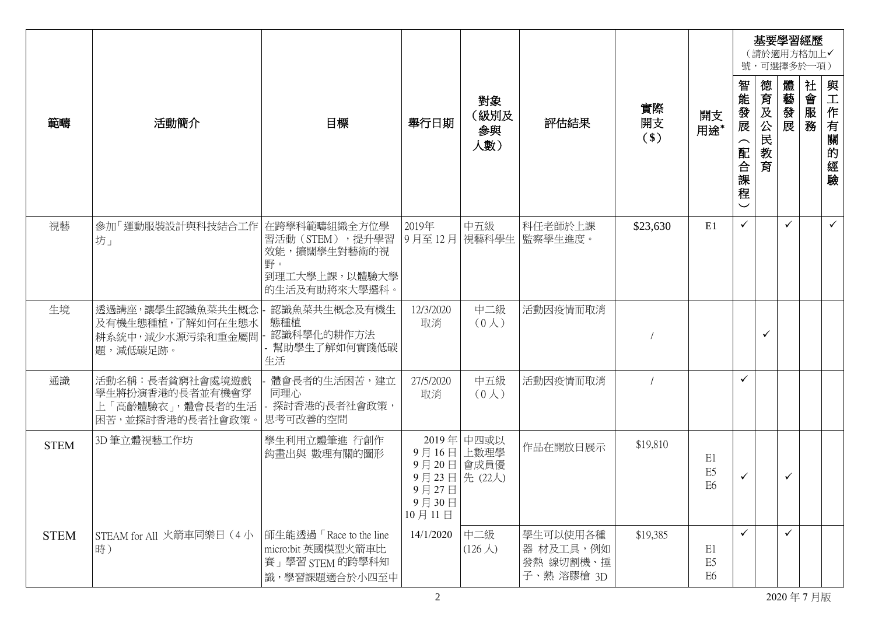|             |                                                                            |                                                                                  |                                                                     |                          |                                                  |                     |                                        |                                                             | 基要學習經歷<br>(請於適用方格加上√<br>號,可選擇多於一項) |              |              |              |
|-------------|----------------------------------------------------------------------------|----------------------------------------------------------------------------------|---------------------------------------------------------------------|--------------------------|--------------------------------------------------|---------------------|----------------------------------------|-------------------------------------------------------------|------------------------------------|--------------|--------------|--------------|
| 範疇          | 活動簡介                                                                       | 目標                                                                               | 舉行日期                                                                | 對象<br>(級別及<br>参與<br>人數)  | 評估結果                                             | 實際<br>開支<br>$($ \$) | 開支<br>用途*                              | 智能發展<br>$\widehat{\phantom{m}}$<br>配合課<br>程<br>$\checkmark$ | 德育及公民<br>教<br>育                    | 體<br>一藝發展    | 社會<br>服<br>務 | 與工作有關的經驗     |
| 視藝          | 參加「運動服裝設計與科技結合工作 在跨學科範疇組織全方位學<br>坊」                                        | 習活動(STEM),提升學習<br>效能,擴闊學生對藝術的視<br>野。<br>到理工大學上課,以體驗大學<br>的生活及有助將來大學選科。           | 2019年<br>9月至12月                                                     | 中五級                      | 科任老師於上課<br>視藝科學生 監察學生進度。                         | \$23,630            | E1                                     | $\checkmark$                                                |                                    |              |              | $\checkmark$ |
| 生境          | 透過講座,讓學生認識魚菜共生概念<br>及有機生態種植,了解如何在生態水<br>耕系統中, 減少水源污染和重金屬問<br>題,減低碳足跡。      | 認識魚菜共生概念及有機生<br>態種植<br>認識科學化的耕作方法<br>- 幫助學生了解如何實踐低碳<br>生活                        | 12/3/2020<br>取消                                                     | 中二級<br>(0 <sub>0</sub> ) | 活動因疫情而取消                                         |                     |                                        |                                                             | $\checkmark$                       |              |              |              |
| 通識          | 活動名稱:長者貧窮社會處境遊戲<br>學生將扮演香港的長者並有機會穿<br>上「高齡體驗衣」,體會長者的生活<br>困苦,並探討香港的長者社會政策。 | 體會長者的生活困苦,建立<br>同理心<br>- 探討香港的長者社會政策,<br>思考可改善的空間                                | 27/5/2020<br>取消                                                     | 中五級<br>(0 <sub>0</sub> ) | 活動因疫情而取消                                         |                     |                                        | $\checkmark$                                                |                                    |              |              |              |
| <b>STEM</b> | 3D 筆立體視藝工作坊                                                                | 學生利用立體筆進 行創作<br>鈎畫出與 數理有關的圖形                                                     | 9月16日 上數理學<br>9月20日 會成員優<br>9月23日先(22人)<br>9月27日<br>9月30日<br>10月11日 | 2019年 中四或以               | 作品在開放日展示                                         | \$19,810            | E1<br>E <sub>5</sub><br>E <sub>6</sub> | $\checkmark$                                                |                                    | $\checkmark$ |              |              |
| <b>STEM</b> | STEAM for All 火箭車同樂日 (4小<br>時)                                             | 師生能透過「Race to the line<br>micro:bit 英國模型火箭車比<br>賽」學習 STEM 的跨學科知<br>識,學習課題適合於小四至中 | 14/1/2020                                                           | 中二級<br>$(126 \lambda)$   | 學生可以使用各種<br>器 材及工具,例如<br>發熱 線切割機、捶<br>子、熱 溶膠槍 3D | \$19,385            | E1<br>E <sub>5</sub><br>E <sub>6</sub> | $\checkmark$                                                |                                    | $\checkmark$ |              |              |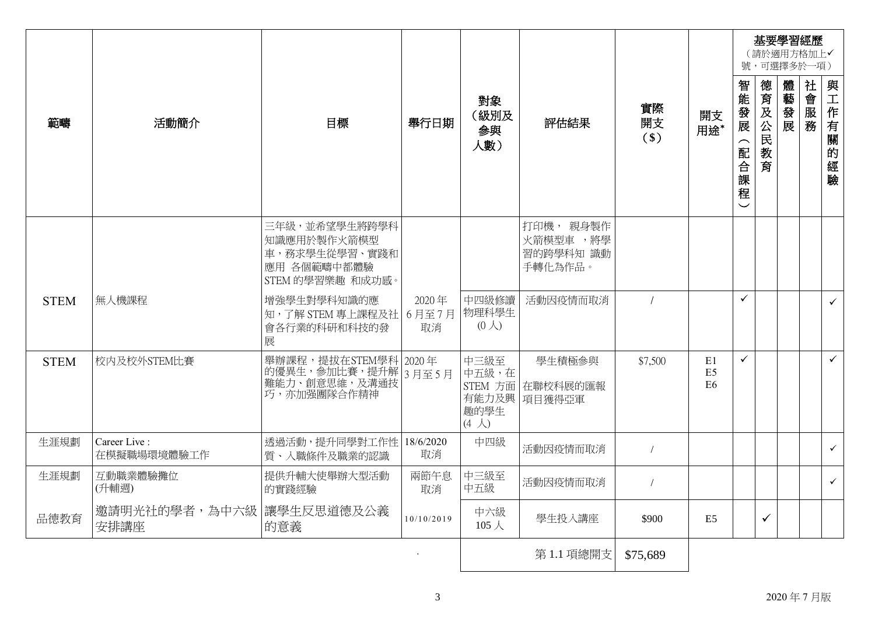|             |                             |                                                                                  |             |                                                |                                               |                     |                                        |                                  |         |      | 基要學習經歷<br>(請於適用方格加上√<br>號,可選擇多於一項) |              |
|-------------|-----------------------------|----------------------------------------------------------------------------------|-------------|------------------------------------------------|-----------------------------------------------|---------------------|----------------------------------------|----------------------------------|---------|------|------------------------------------|--------------|
| 範疇          | 活動簡介                        | 目標                                                                               | 舉行日期        | 對象<br>(級別及<br>参與<br>人數)                        | 評估結果                                          | 實際<br>開支<br>$($ \$) | 開支<br>用途*                              | 智能發展<br>配合課<br>程<br>$\checkmark$ | 德育及公民教育 | 體藝發展 | 社會<br>服<br>務                       | 與<br>工作有關的經驗 |
|             |                             | 三年級,並希望學生將跨學科<br>知識應用於製作火箭模型<br>車,務求學生從學習、實踐和<br>應用 各個範疇中都體驗<br>STEM 的學習樂趣 和成功感。 |             |                                                | 打印機, 親身製作<br>火箭模型車,將學<br>習的跨學科知 識動<br>手轉化為作品。 |                     |                                        |                                  |         |      |                                    |              |
| <b>STEM</b> | 無人機課程                       | 增強學生對學科知識的應<br>知,了解 STEM 專上課程及社 6月至7月<br>會各行業的科研和科技的發<br>展                       | 2020年<br>取消 | 中四級修讀<br>物理科學生<br>$(0 \lambda)$                | 活動因疫情而取消                                      |                     |                                        | $\checkmark$                     |         |      |                                    | $\checkmark$ |
| <b>STEM</b> | 校内及校外STEM比賽                 | 舉辦課程,提拔在STEM學科 2020年<br>的優異生,參加比賽,提升解 3月至5月<br>難能力、創意思維,及溝通技<br>巧,亦加强團隊合作精神      |             | 中三級至<br>中五級,在<br>趣的學生<br>$(4 \nightharpoonup)$ | 學生積極參與<br>STEM 方面 在聯校科展的匯報<br>有能力及興 項目獲得亞軍    | \$7,500             | E1<br>E <sub>5</sub><br>E <sub>6</sub> | $\checkmark$                     |         |      |                                    | $\checkmark$ |
| 生涯規劃        | Career Live:<br>在模擬職場環境體驗工作 | 透過活動,提升同學對工作性 18/6/2020<br>質、入職條件及職業的認識                                          | 取消          | 中四級                                            | 活動因疫情而取消                                      | $\sqrt{2}$          |                                        |                                  |         |      |                                    | $\checkmark$ |
| 生涯規劃        | 互動職業體驗攤位<br>(升輔週)           | 提供升輔大使舉辦大型活動<br>的實踐經驗                                                            | 兩節午息<br>取消  | 中三級至<br>中五級                                    | 活動因疫情而取消                                      | $\sqrt{2}$          |                                        |                                  |         |      |                                    | $\checkmark$ |
| 品德教育        | 邀請明光社的學者,為中六級<br>安排講座       | 讓學生反思道德及公義<br>的意義                                                                | 10/10/2019  | 中六級<br>$105 \lambda$                           | 學生投入講座                                        | \$900               | E5                                     |                                  | ✓       |      |                                    |              |
|             |                             |                                                                                  |             |                                                | 第1.1 項總開支                                     | \$75,689            |                                        |                                  |         |      |                                    |              |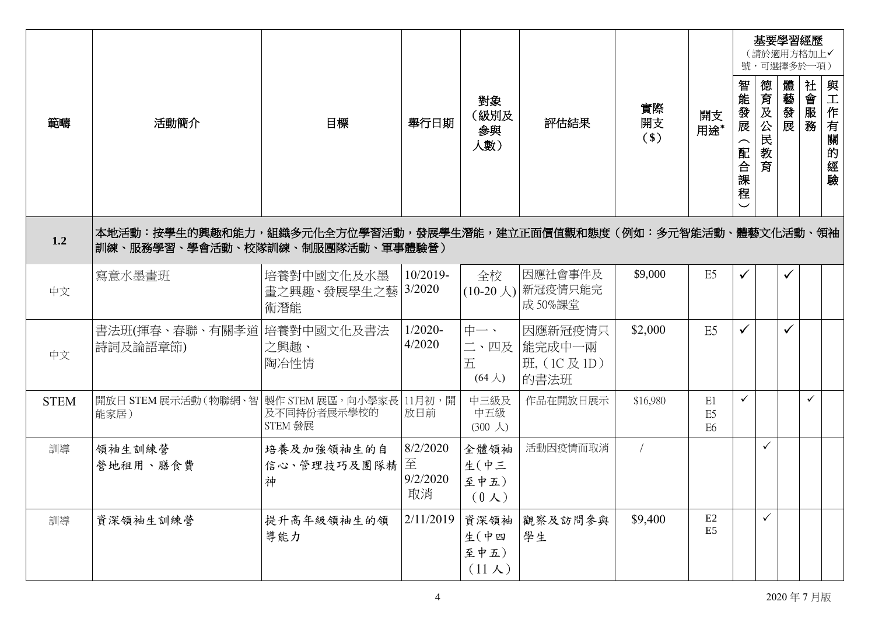|             |                                                                                                      |                                   |                                 |                                        |                                               |                     |                                        |                       |                 | 基要學習經歷<br>(請於適用方格加上√<br>號,可選擇多於一項) |           |          |
|-------------|------------------------------------------------------------------------------------------------------|-----------------------------------|---------------------------------|----------------------------------------|-----------------------------------------------|---------------------|----------------------------------------|-----------------------|-----------------|------------------------------------|-----------|----------|
| 範疇          | 活動簡介                                                                                                 | 目標                                | 舉行日期                            | 對象<br>(級別及<br>参與<br>人數)                | 評估結果                                          | 實際<br>開支<br>$($ \$) | 開支<br>用途*                              | 智能發展<br>配<br>1合課<br>雇 | 德育及公民<br>教<br>育 | 體藝發展                               | 社<br>一會服務 | 與工作有關的經驗 |
| 1.2         | 本地活動:按學生的興趣和能力,組織多元化全方位學習活動,發展學生潛能,建立正面價值觀和態度(例如:多元智能活動、體藝文化活動、領袖<br>訓練、服務學習、學會活動、校隊訓練、制服團隊活動、軍事體驗營) |                                   |                                 |                                        |                                               |                     |                                        |                       |                 |                                    |           |          |
| 中文          | 寫意水墨畫班                                                                                               | 培養對中國文化及水墨<br>書之興趣、發展學生之藝 <br>術潛能 | 10/2019-<br>3/2020              | 全校                                     | 因應社會事件及<br>(10-20 人) 新冠疫情只能完<br>成 50%課堂       | \$9,000             | E <sub>5</sub>                         | $\checkmark$          |                 |                                    |           |          |
| 中文          | 書法班(揮春、春聯、有關孝道 培養對中國文化及書法<br>詩詞及論語章節)                                                                | 之興趣、<br>陶冶性情                      | $1/2020 -$<br>4/2020            | 中一、<br>五<br>$(64 \lambda)$             | 因應新冠疫情只<br>二、四及  能完成中一兩<br>班, (1C及1D)<br>的書法班 | \$2,000             | E5                                     | ✓                     |                 | ✓                                  |           |          |
| <b>STEM</b> | 開放日 STEM 展示活動 (物聯網、智   製作 STEM 展區,向小學家長   11月初,開<br>能家居)                                             | 及不同持份者展示學校的<br>STEM 發展            | 放日前                             | 中三級及<br>中五級<br>$(300 \lambda)$         | 作品在開放日展示                                      | \$16,980            | E1<br>E <sub>5</sub><br>E <sub>6</sub> | $\checkmark$          |                 |                                    |           |          |
| 訓導          | 領袖生訓練營<br>營地租用、膳食費                                                                                   | 培養及加強領袖生的自<br>信心、管理技巧及團隊精 <br>神   | 8/2/2020<br>至<br>9/2/2020<br>取消 | 全體領袖<br>生(中三<br>至中五)<br>$(0 \lambda)$  | 活動因疫情而取消                                      |                     |                                        |                       | $\checkmark$    |                                    |           |          |
| 訓導          | 資深領袖生訓練營                                                                                             | 提升高年級領袖生的領<br>導能力                 | 2/11/2019                       | 資深領袖<br>生(中四<br>至中五)<br>$(11 \lambda)$ | 觀察及訪問參與<br>學生                                 | \$9,400             | E2<br>E <sub>5</sub>                   |                       | ✓               |                                    |           |          |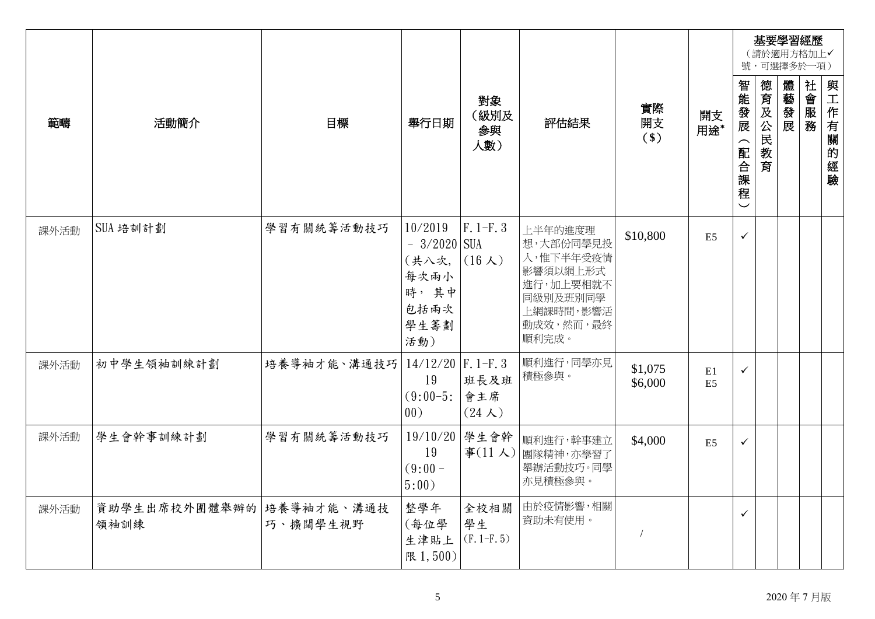|      |                       |                        |                                                                          |                                      |                                                                                                           |                    |                      |                                  |         | 基要學習經歷 | (請於適用方格加上√<br>號,可選擇多於一項) |          |
|------|-----------------------|------------------------|--------------------------------------------------------------------------|--------------------------------------|-----------------------------------------------------------------------------------------------------------|--------------------|----------------------|----------------------------------|---------|--------|--------------------------|----------|
| 範疇   | 活動簡介                  | 目標                     | 舉行日期                                                                     | 對象<br>(級別及<br>参與<br>人數)              | 評估結果                                                                                                      | 實際<br>開支<br>$($ \$ | 開支<br>用途*            | 智能發展<br>配合課<br>程<br>$\checkmark$ | 德育及公民教育 | 體藝發展   | 社會服務                     | 與工作有關的經驗 |
| 課外活動 | SUA 培訓計劃              | 學習有關統籌活動技巧             | 10/2019<br>$-3/2020$ SUA<br>(共八次,<br>每次兩小<br>時,其中<br>包括兩次<br>學生籌劃<br>活動) | $F. 1-F. 3$<br>$(16 \lambda)$        | 上半年的進度理<br>想,大部份同學見投<br>入,惟下半年受疫情<br>影響須以網上形式<br>進行,加上要相就不<br>同級別及班別同學<br>上網課時間,影響活<br>動成效,然而,最終<br>順利完成。 | \$10,800           | E <sub>5</sub>       | $\checkmark$                     |         |        |                          |          |
| 課外活動 | 初中學生領袖訓練計劃            | 培養導袖才能、溝通技巧            | $14/12/20$ F. 1-F. 3<br>19<br>$(9:00-5)$<br>00)                          | 班長及班<br>會主席<br>$(24 \; \mathcal{K})$ | 順利進行,同學亦見<br>積極參與。                                                                                        | \$1,075<br>\$6,000 | E1<br>E <sub>5</sub> | $\checkmark$                     |         |        |                          |          |
| 課外活動 | 學生會幹事訓練計劃             | 學習有關統籌活動技巧             | 19/10/20<br>19<br>$(9:00 -$<br>5:00)                                     | 學生會幹                                 | 順利進行,幹事建立<br>事(11人) 團隊精神,亦學習了<br>舉辦活動技巧。同學<br>亦見積極參與。                                                     | \$4,000            | E <sub>5</sub>       | ✓                                |         |        |                          |          |
| 課外活動 | 資助學生出席校外團體舉辦的<br>領袖訓練 | 培養導袖才能、溝通技<br>巧、擴闊學生視野 | 整學年<br>(每位學<br>生津貼上<br>限 1,500)                                          | 全校相關<br>學生<br>$(F. 1-F. 5)$          | 由於疫情影響,相關<br>資助未有使用。                                                                                      |                    |                      | ✓                                |         |        |                          |          |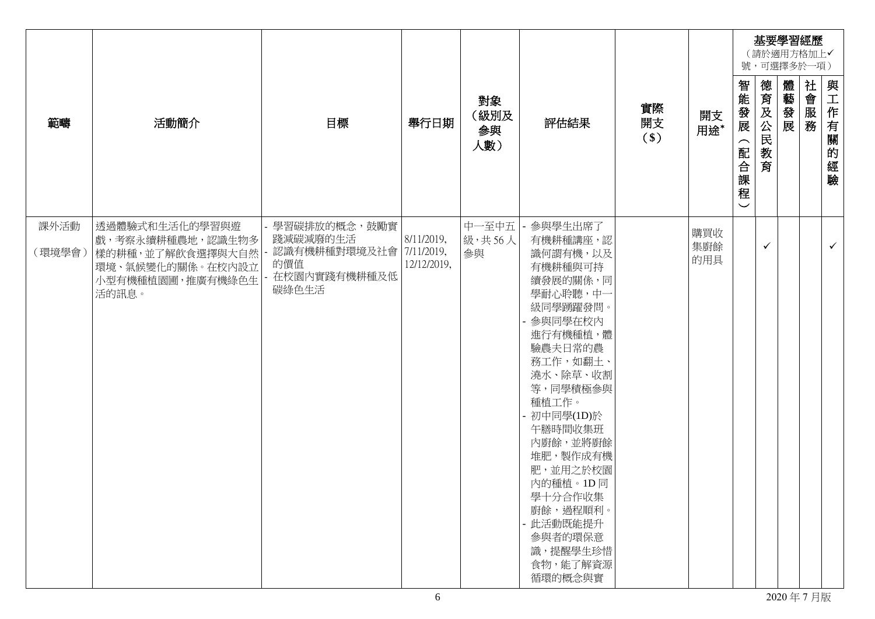|        |                                                                   |                                                         |             |                         |                                                                                                                                                                                                                                                                                                     |                   |            |                                                              |             | 基要學習經歷<br>(請於適用方格加上√<br>號,可選擇多於一項) |      |              |
|--------|-------------------------------------------------------------------|---------------------------------------------------------|-------------|-------------------------|-----------------------------------------------------------------------------------------------------------------------------------------------------------------------------------------------------------------------------------------------------------------------------------------------------|-------------------|------------|--------------------------------------------------------------|-------------|------------------------------------|------|--------------|
| 範疇     | 活動簡介                                                              | 目標                                                      | 舉行日期        | 對象<br>(級別及<br>参與<br>人數) | 評估結果                                                                                                                                                                                                                                                                                                | 實際<br>開支<br>$($)$ | 開支<br>用途*  | 智能發展<br>$\widehat{\phantom{1}}$<br>配合<br> 課程<br>$\checkmark$ | 德育及公民<br>教育 | 體藝發展                               | 社會服務 | 與工作有關的經驗     |
| 課外活動   | 透過體驗式和生活化的學習與遊<br>戲,考察永續耕種農地,認識生物多                                | 學習碳排放的概念,鼓勵實<br>踐減碳減廢的生活                                | 8/11/2019,  | 中一至中五<br><b>級·共56人</b>  | 參與學生出席了<br>有機耕種講座,認                                                                                                                                                                                                                                                                                 |                   | 購買收        |                                                              |             |                                    |      |              |
| (環境學會) | 樣的耕種,並了解飲食選擇與大自然<br>環境、氣候變化的關係。在校內設立<br>小型有機種植園圃,推廣有機綠色生<br>活的訊息。 | 認識有機耕種對環境及社會 7/11/2019,<br>的價值<br>在校園內實踐有機耕種及低<br>碳綠色生活 | 12/12/2019, | 參與                      | 識何謂有機,以及<br>有機耕種與可持<br>續發展的關係,同<br>學耐心聆聽,中一<br>級同學踴躍發問。<br>參與同學在校內<br>進行有機種植,體<br>驗農夫日常的農<br>務工作,如翻土、<br>澆水、除草、收割<br>等,同學積極參與<br>種植工作。<br>- 初中同學(ID)於<br>午膳時間收集班<br>內廚餘,並將廚餘<br>堆肥, 製作成有機<br>肥,並用之於校園<br>內的種植。1D同<br>學十分合作收集<br>廚餘,過程順利。<br>- 此活動既能提升<br>參與者的環保意<br>識,提醒學生珍惜<br>食物,能了解資源<br>循環的概念與實 |                   | 集廚餘<br>的用具 |                                                              | ✓           |                                    |      | $\checkmark$ |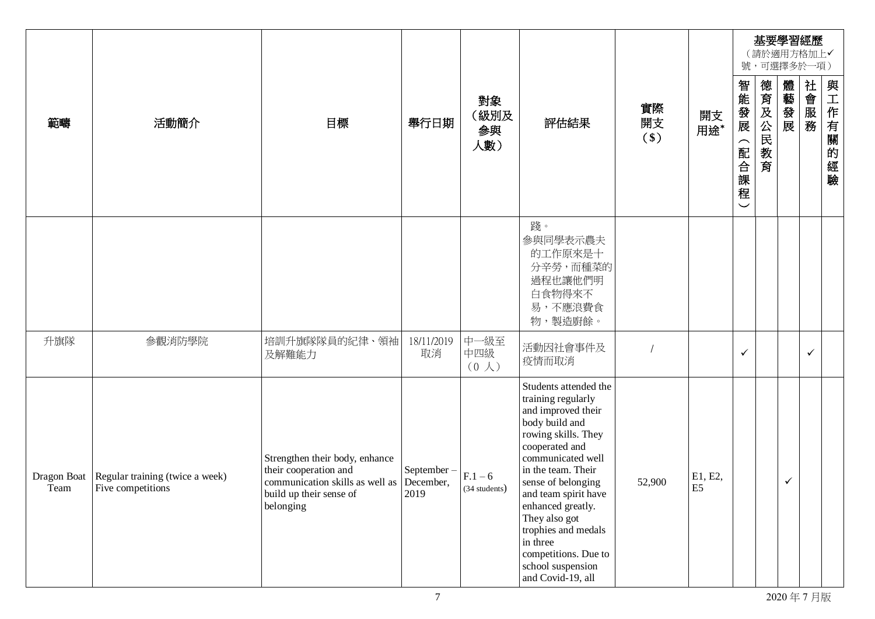|                     |                                                      |                                                                                                                                              |                     |                               |                                                                                                                                                                                                                                                                                                                                                                  |                   |                           |                                              | 基要學習經歷<br>(請於適用方格加上√<br>號,可選擇多於一項) |              |              |              |
|---------------------|------------------------------------------------------|----------------------------------------------------------------------------------------------------------------------------------------------|---------------------|-------------------------------|------------------------------------------------------------------------------------------------------------------------------------------------------------------------------------------------------------------------------------------------------------------------------------------------------------------------------------------------------------------|-------------------|---------------------------|----------------------------------------------|------------------------------------|--------------|--------------|--------------|
| 範疇                  | 活動簡介                                                 | 目標                                                                                                                                           | 舉行日期                | 對象<br>(級別及<br>参與<br>人數)       | 評估結果                                                                                                                                                                                                                                                                                                                                                             | 實際<br>開支<br>$($)$ | 開支<br>用途*                 | 智能發展<br>$\overline{\phantom{1}}$<br>配合課<br>程 | 德育及公民<br>教育                        | 體藝發展         | 社會服務         | 與工作有關<br>的經驗 |
|                     |                                                      |                                                                                                                                              |                     |                               | 踐。<br>參與同學表示農夫<br>的工作原來是十<br>分辛勞,而種菜的<br>過程也讓他們明<br>白食物得來不<br>易,不應浪費食<br>物,製造廚餘。                                                                                                                                                                                                                                                                                 |                   |                           |                                              |                                    |              |              |              |
| 升旗隊                 | 參觀消防學院                                               | 培訓升旗隊隊員的紀律、領袖<br>及解難能力                                                                                                                       | 18/11/2019<br>取消    | 中一級至<br>中四級<br>$(0, \lambda)$ | 活動因社會事件及<br>疫情而取消                                                                                                                                                                                                                                                                                                                                                |                   |                           | ✓                                            |                                    |              | $\checkmark$ |              |
| Dragon Boat<br>Team | Regular training (twice a week)<br>Five competitions | Strengthen their body, enhance<br>their cooperation and<br>communication skills as well as December,<br>build up their sense of<br>belonging | September -<br>2019 | $F.1 - 6$<br>(34 students)    | Students attended the<br>training regularly<br>and improved their<br>body build and<br>rowing skills. They<br>cooperated and<br>communicated well<br>in the team. Their<br>sense of belonging<br>and team spirit have<br>enhanced greatly.<br>They also got<br>trophies and medals<br>in three<br>competitions. Due to<br>school suspension<br>and Covid-19, all | 52,900            | E1, E2,<br>E <sub>5</sub> |                                              |                                    | $\checkmark$ |              |              |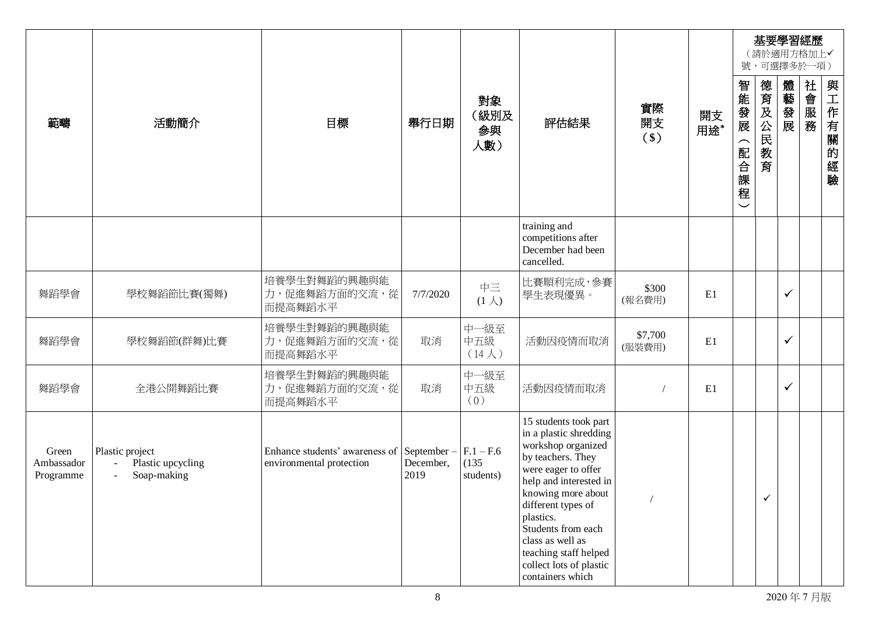|                                  |                                                                         |                                                                        |                   |                                   |                                                                                                                                                                                                                                                                                                                        |                   |           |                                                             | 基要學習經歷<br>(請於適用方格加上√<br>號,可選擇多於一項) |              |      |          |
|----------------------------------|-------------------------------------------------------------------------|------------------------------------------------------------------------|-------------------|-----------------------------------|------------------------------------------------------------------------------------------------------------------------------------------------------------------------------------------------------------------------------------------------------------------------------------------------------------------------|-------------------|-----------|-------------------------------------------------------------|------------------------------------|--------------|------|----------|
| 範疇                               | 活動簡介                                                                    | 目標                                                                     | 舉行日期              | 對象<br>(級別及<br>参與<br>人數)           | 評估結果                                                                                                                                                                                                                                                                                                                   | 實際<br>開支<br>$($)$ | 開支<br>用途* | 智能發展<br>$\widehat{\phantom{m}}$<br>配合課<br>程<br>$\checkmark$ | 德育及公民<br>教育                        | 體藝發展         | 社會服務 | 與工作有關的經驗 |
|                                  |                                                                         |                                                                        |                   |                                   | training and<br>competitions after<br>December had been<br>cancelled.                                                                                                                                                                                                                                                  |                   |           |                                                             |                                    |              |      |          |
| 舞蹈學會                             | 學校舞蹈節比賽(獨舞)                                                             | 培養學生對舞蹈的興趣與能<br>力,促進舞蹈方面的交流,從<br>而提高舞蹈水平                               | 7/7/2020          | 中三<br>$(1 \lambda)$               | 比賽順利完成,參賽<br>學生表現優異。                                                                                                                                                                                                                                                                                                   | \$300<br>(報名費用)   | E1        |                                                             |                                    | $\checkmark$ |      |          |
| 舞蹈學會                             | 學校舞蹈節(群舞)比賽                                                             | 培養學生對舞蹈的興趣與能<br>力,促進舞蹈方面的交流,從<br>而提高舞蹈水平                               | 取消                | 中一級至<br>中五級<br>$(14\lambda)$      | 活動因疫情而取消                                                                                                                                                                                                                                                                                                               | \$7,700<br>(服装費用) | E1        |                                                             |                                    | $\checkmark$ |      |          |
| 舞蹈學會                             | 全港公開舞蹈比賽                                                                | 培養學生對舞蹈的興趣與能<br>力,促進舞蹈方面的交流,從<br>而提高舞蹈水平                               | 取消                | 中一級至<br>中五級<br>(0)                | 活動因疫情而取消                                                                                                                                                                                                                                                                                                               |                   | E1        |                                                             |                                    | $\checkmark$ |      |          |
| Green<br>Ambassador<br>Programme | Plastic project<br>Plastic upcycling<br>$\sim$<br>Soap-making<br>$\sim$ | Enhance students' awareness of September –<br>environmental protection | December,<br>2019 | $F.1 - F.6$<br>(135)<br>students) | 15 students took part<br>in a plastic shredding<br>workshop organized<br>by teachers. They<br>were eager to offer<br>help and interested in<br>knowing more about<br>different types of<br>plastics.<br>Students from each<br>class as well as<br>teaching staff helped<br>collect lots of plastic<br>containers which |                   |           |                                                             |                                    |              |      |          |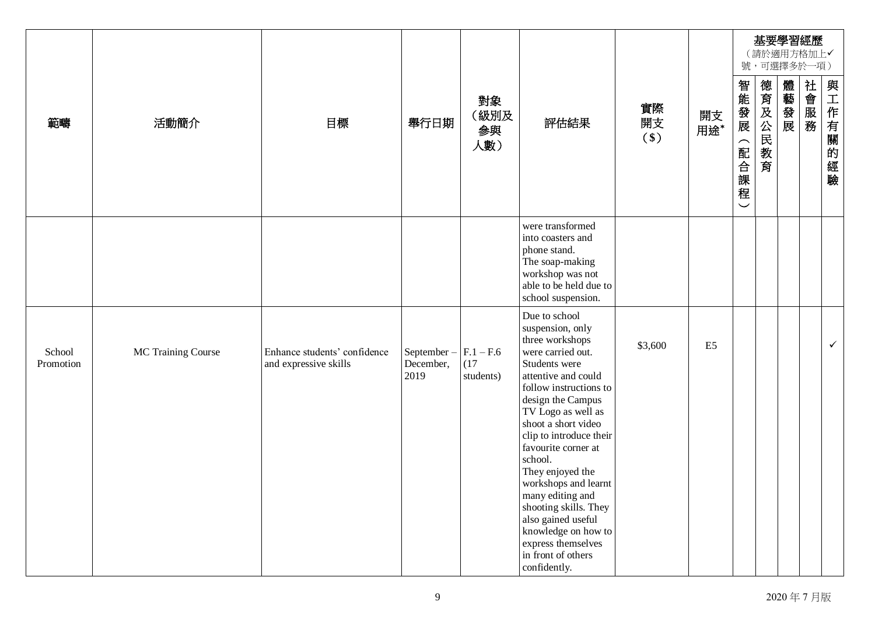|                     |                    |                                                       |                                 |                                  |                                                                                                                                                                                                                                                                                                                                                                                                                                                                              |                   |                |                               |             |      | 基要學習經歷<br>(請於適用方格加上√<br>號,可選擇多於一項) |              |
|---------------------|--------------------|-------------------------------------------------------|---------------------------------|----------------------------------|------------------------------------------------------------------------------------------------------------------------------------------------------------------------------------------------------------------------------------------------------------------------------------------------------------------------------------------------------------------------------------------------------------------------------------------------------------------------------|-------------------|----------------|-------------------------------|-------------|------|------------------------------------|--------------|
| 範疇                  | 活動簡介               | 目標                                                    | 舉行日期                            | 對象<br>(級別及<br>參與<br>人數)          | 評估結果                                                                                                                                                                                                                                                                                                                                                                                                                                                                         | 實際<br>開支<br>$($)$ | 開支<br>用途*      | 智能發展<br>(配合課程<br>$\checkmark$ | 德育及公民<br>数育 | 體藝發展 | 社會服務                               | 與工作有關的經驗     |
|                     |                    |                                                       |                                 |                                  | were transformed<br>into coasters and<br>phone stand.<br>The soap-making<br>workshop was not<br>able to be held due to<br>school suspension.                                                                                                                                                                                                                                                                                                                                 |                   |                |                               |             |      |                                    |              |
| School<br>Promotion | MC Training Course | Enhance students' confidence<br>and expressive skills | September-<br>December,<br>2019 | $F.1 - F.6$<br>(17)<br>students) | Due to school<br>suspension, only<br>three workshops<br>were carried out.<br>Students were<br>attentive and could<br>follow instructions to<br>design the Campus<br>TV Logo as well as<br>shoot a short video<br>clip to introduce their<br>favourite corner at<br>school.<br>They enjoyed the<br>workshops and learnt<br>many editing and<br>shooting skills. They<br>also gained useful<br>knowledge on how to<br>express themselves<br>in front of others<br>confidently. | \$3,600           | E <sub>5</sub> |                               |             |      |                                    | $\checkmark$ |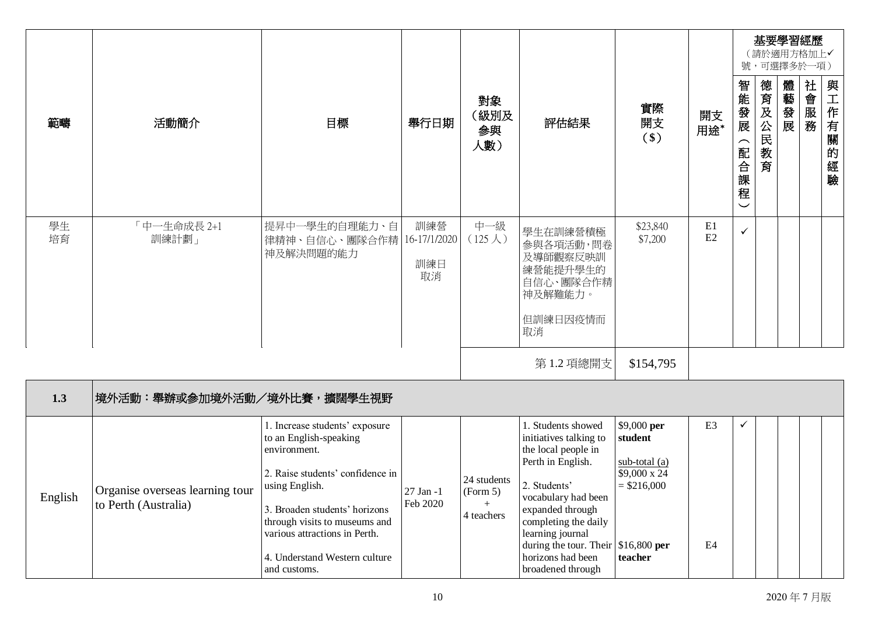|          |                                                         |                                                                                                                                                                                                                                                                                    |                                  |                                              |                                                                                                                                                                                                                                                                                          |                                                                                     |                      |                                                                         |         | 基要學習經歷<br>(請於適用方格加上√<br>號,可選擇多於一項) |      |              |
|----------|---------------------------------------------------------|------------------------------------------------------------------------------------------------------------------------------------------------------------------------------------------------------------------------------------------------------------------------------------|----------------------------------|----------------------------------------------|------------------------------------------------------------------------------------------------------------------------------------------------------------------------------------------------------------------------------------------------------------------------------------------|-------------------------------------------------------------------------------------|----------------------|-------------------------------------------------------------------------|---------|------------------------------------|------|--------------|
| 範疇       | 活動簡介                                                    | 目標                                                                                                                                                                                                                                                                                 | 舉行日期                             | 對象<br>(級別及<br>参與<br>人數)                      | 評估結果                                                                                                                                                                                                                                                                                     | 實際<br>開支<br>$($)$                                                                   | 開支<br>用途*            | 智能發展<br>$\widehat{\phantom{1}}$<br>配合課<br>程<br>$\overline{\phantom{0}}$ | 德育及公民教育 | 體藝發展                               | 社會服務 | 與工作有關的<br>經驗 |
| 學生<br>培育 | 「中一生命成長 2+1<br>訓練計劃」                                    | 提昇中一學生的自理能力、自<br>律精神、自信心、團隊合作精<br>神及解決問題的能力                                                                                                                                                                                                                                        | 訓練營<br>16-17/1/2020<br>訓練日<br>取消 | 中一級<br>$(125 \lambda)$                       | 學生在訓練營積極<br>參與各項活動,問卷<br>及導師觀察反映訓<br>練營能提升學生的<br>自信心、團隊合作精<br>神及解難能力。<br>但訓練日因疫情而<br>取消                                                                                                                                                                                                  | \$23,840<br>\$7,200                                                                 | E1<br>E2             | $\checkmark$                                                            |         |                                    |      |              |
|          |                                                         |                                                                                                                                                                                                                                                                                    |                                  |                                              | 第1.2 項總開支                                                                                                                                                                                                                                                                                | \$154,795                                                                           |                      |                                                                         |         |                                    |      |              |
| 1.3      | 境外活動:舉辦或參加境外活動/境外比賽,擴闊學生視野                              |                                                                                                                                                                                                                                                                                    |                                  |                                              |                                                                                                                                                                                                                                                                                          |                                                                                     |                      |                                                                         |         |                                    |      |              |
| English  | Organise overseas learning tour<br>to Perth (Australia) | 1. Increase students' exposure<br>to an English-speaking<br>environment.<br>2. Raise students' confidence in<br>using English.<br>3. Broaden students' horizons<br>through visits to museums and<br>various attractions in Perth.<br>4. Understand Western culture<br>and customs. | 27 Jan -1<br>Feb 2020            | 24 students<br>(Form 5)<br>$+$<br>4 teachers | 1. Students showed<br>initiatives talking to<br>the local people in<br>Perth in English.<br>2. Students'<br>vocabulary had been<br>expanded through<br>completing the daily<br>learning journal<br>during the tour. Their $\vert$ \$16,800 per<br>horizons had been<br>broadened through | \$9,000 per<br>student<br>sub-total (a)<br>\$9,000 x 24<br>$=$ \$216,000<br>teacher | E <sub>3</sub><br>E4 | $\checkmark$                                                            |         |                                    |      |              |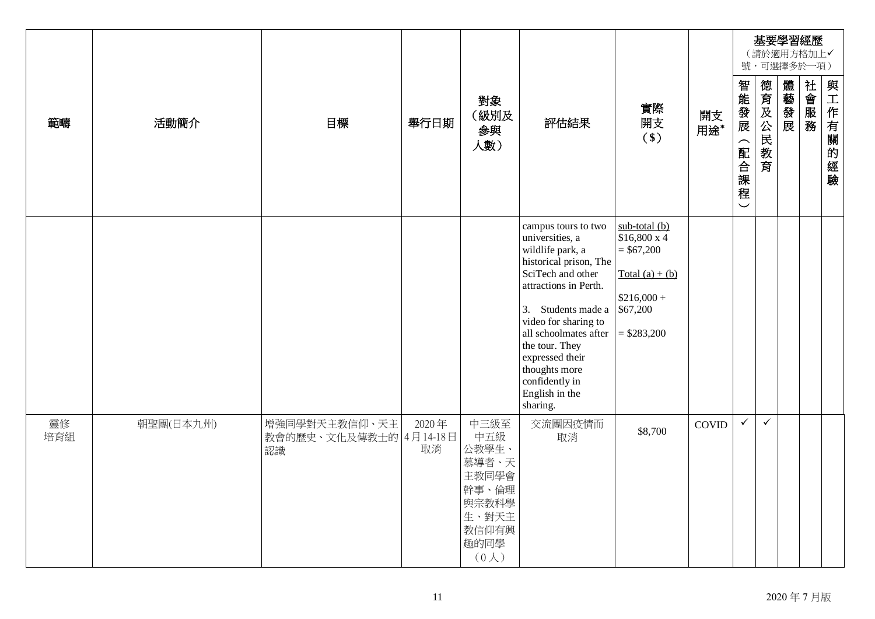|           |           |                                               |             |                                                                                                    |                                                                                                                                                                                                                                                                                                                 |                                                                                                                  |              |                                               |              | 基要學習經歷<br>(請於適用方格加上√<br>號,可選擇多於一項) |      |          |
|-----------|-----------|-----------------------------------------------|-------------|----------------------------------------------------------------------------------------------------|-----------------------------------------------------------------------------------------------------------------------------------------------------------------------------------------------------------------------------------------------------------------------------------------------------------------|------------------------------------------------------------------------------------------------------------------|--------------|-----------------------------------------------|--------------|------------------------------------|------|----------|
| 範疇        | 活動簡介      | 目標                                            | 舉行日期        | 對象<br>(級別及<br>参與<br>人數)                                                                            | 評估結果                                                                                                                                                                                                                                                                                                            | 實際<br>開支<br>$($)$                                                                                                | 開支<br>用途*    | 智能發展<br>(配合課<br>程<br>$\overline{\phantom{0}}$ | 德育及公民教育      | 體藝發展                               | 社會服務 | 與工作有關的經驗 |
|           |           |                                               |             |                                                                                                    | campus tours to two<br>universities, a<br>wildlife park, a<br>historical prison, The<br>SciTech and other<br>attractions in Perth.<br>3. Students made a<br>video for sharing to<br>all schoolmates after<br>the tour. They<br>expressed their<br>thoughts more<br>confidently in<br>English in the<br>sharing. | $sub$ -total (b)<br>\$16,800 x 4<br>$= $67,200$<br>$Total (a) + (b)$<br>$$216,000 +$<br>\$67,200<br>$= $283,200$ |              |                                               |              |                                    |      |          |
| 靈修<br>培育組 | 朝聖團(日本九州) | 增強同學對天主教信仰、天主<br>教會的歷史、文化及傳教士的 4月14-18日<br>認識 | 2020年<br>取消 | 中三級至<br>中五級<br>公教學生、<br>慕導者、天<br>主教同學會<br>幹事、倫理<br>與宗教科學<br>生、對天主<br>教信仰有興<br>趣的同學<br>$(0\lambda)$ | 交流團因疫情而<br>取消                                                                                                                                                                                                                                                                                                   | \$8,700                                                                                                          | <b>COVID</b> | $\checkmark$                                  | $\checkmark$ |                                    |      |          |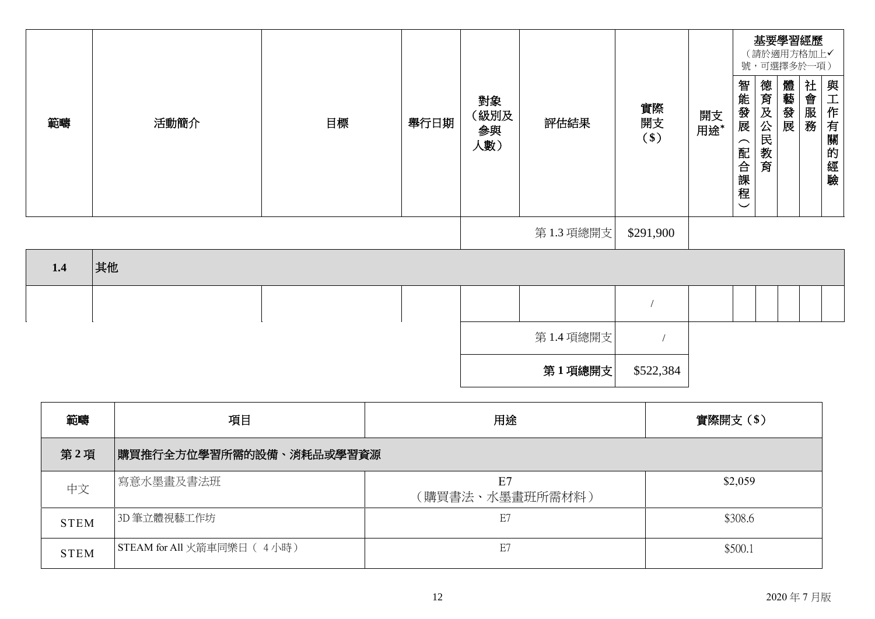|     |      |    |      |                         |           |                   |           |                                                          |         | 基要學習經歷<br>(請於適用方格加上√<br>號,可選擇多於一項) |      |          |
|-----|------|----|------|-------------------------|-----------|-------------------|-----------|----------------------------------------------------------|---------|------------------------------------|------|----------|
| 範疇  | 活動簡介 | 目標 | 舉行日期 | 對象<br>(級別及<br>参與<br>人數) | 評估結果      | 實際<br>開支<br>$($)$ | 開支<br>用途* | 智能發展<br>$\overline{\phantom{1}}$<br>配合課程<br>$\checkmark$ | 德育及公民教育 | 體藝發展                               | 社會服務 | 與工作有關的經驗 |
|     |      |    |      |                         | 第1.3 項總開支 | \$291,900         |           |                                                          |         |                                    |      |          |
| 1.4 | 其他   |    |      |                         |           |                   |           |                                                          |         |                                    |      |          |
|     |      |    |      |                         |           |                   |           |                                                          |         |                                    |      |          |
|     |      |    |      |                         | 第1.4 項總開支 | $\sqrt{ }$        |           |                                                          |         |                                    |      |          |
|     |      |    |      |                         | 第1項總開支    | \$522,384         |           |                                                          |         |                                    |      |          |

| 範疇          | 項目                         | 用途                    | 實際開支(\$) |  |
|-------------|----------------------------|-----------------------|----------|--|
| 第2項         | 購買推行全方位學習所需的設備、消耗品或學習資源    |                       |          |  |
| 中文          | 寫意水墨畫及書法班                  | E7<br>(購買書法、水墨畫班所需材料) | \$2,059  |  |
| <b>STEM</b> | 3D 筆立體視藝工作坊                | E7                    | \$308.6  |  |
| <b>STEM</b> | STEAM for All 火箭車同樂日 (4小時) | E7                    | \$500.1  |  |